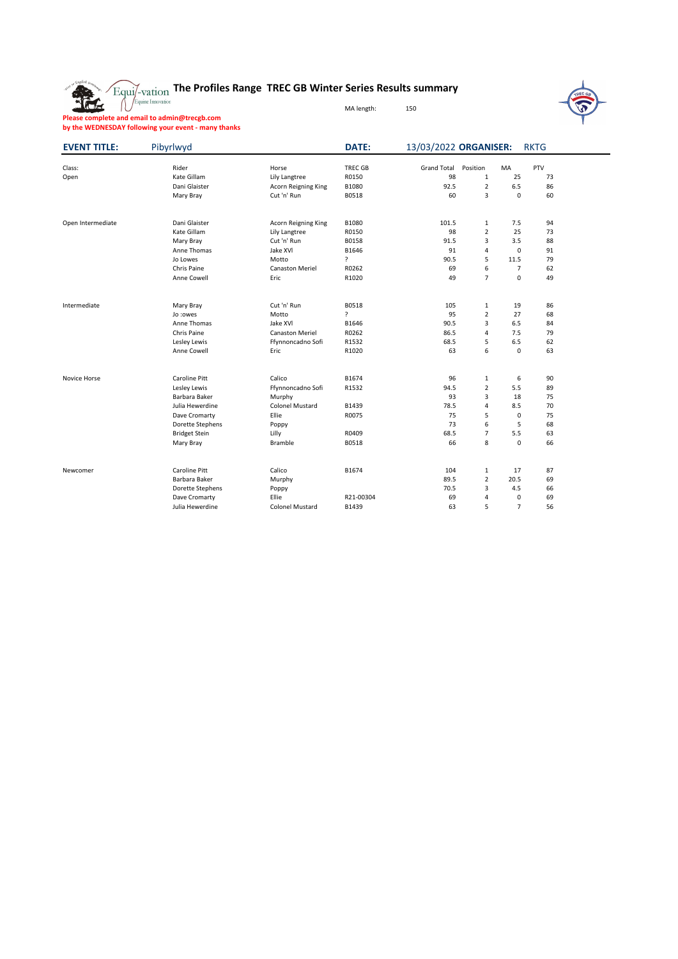

## **The Profiles Range TREC GB Winter Series Results summary**



Equine Innovation

MA length: 150

**Please complete and email to admin@trecgb.com**

**by the WEDNESDAY following your event - many thanks**

| <b>EVENT TITLE:</b> | Pibyrlwyd            |                        | <b>DATE:</b>   | 13/03/2022 ORGANISER: |                |             | <b>RKTG</b> |  |  |
|---------------------|----------------------|------------------------|----------------|-----------------------|----------------|-------------|-------------|--|--|
| Class:              | Rider                | Horse                  | <b>TREC GB</b> | <b>Grand Total</b>    | Position       | MA          | PTV         |  |  |
| Open                | Kate Gillam          | Lily Langtree          | R0150          | 98                    | $\mathbf{1}$   | 25          | 73          |  |  |
|                     | Dani Glaister        | Acorn Reigning King    | B1080          | 92.5                  | $\overline{2}$ | 6.5         | 86          |  |  |
|                     | Mary Bray            | Cut 'n' Run            | B0518          | 60                    | 3              | $\mathbf 0$ | 60          |  |  |
| Open Intermediate   | Dani Glaister        | Acorn Reigning King    | B1080          | 101.5                 | $\mathbf{1}$   | 7.5         | 94          |  |  |
|                     | Kate Gillam          | Lily Langtree          | R0150          | 98                    | $\overline{2}$ | 25          | 73          |  |  |
|                     | Mary Bray            | Cut 'n' Run            | B0158          | 91.5                  | 3              | 3.5         | 88          |  |  |
|                     | Anne Thomas          | Jake XVI               | B1646          | 91                    | 4              | $\mathbf 0$ | 91          |  |  |
|                     | Jo Lowes             | Motto                  | ?              | 90.5                  | 5              | 11.5        | 79          |  |  |
|                     | <b>Chris Paine</b>   | <b>Canaston Meriel</b> | R0262          | 69                    | 6              | 7           | 62          |  |  |
|                     | Anne Cowell          | Eric                   | R1020          | 49                    | $\overline{7}$ | 0           | 49          |  |  |
| Intermediate        | Mary Bray            | Cut 'n' Run            | B0518          | 105                   | $\mathbf{1}$   | 19          | 86          |  |  |
|                     | Jo : owes            | Motto                  | ?              | 95                    | $\overline{2}$ | 27          | 68          |  |  |
|                     | Anne Thomas          | Jake XVI               | B1646          | 90.5                  | 3              | 6.5         | 84          |  |  |
|                     | Chris Paine          | <b>Canaston Meriel</b> | R0262          | 86.5                  | 4              | 7.5         | 79          |  |  |
|                     | Lesley Lewis         | Ffynnoncadno Sofi      | R1532          | 68.5                  | 5              | 6.5         | 62          |  |  |
|                     | Anne Cowell          | Eric                   | R1020          | 63                    | 6              | $\mathbf 0$ | 63          |  |  |
| <b>Novice Horse</b> | <b>Caroline Pitt</b> | Calico                 | B1674          | 96                    | $\mathbf{1}$   | 6           | 90          |  |  |
|                     | Lesley Lewis         | Ffynnoncadno Sofi      | R1532          | 94.5                  | $\overline{2}$ | 5.5         | 89          |  |  |
|                     | Barbara Baker        | Murphy                 |                | 93                    | 3              | 18          | 75          |  |  |
|                     | Julia Hewerdine      | <b>Colonel Mustard</b> | B1439          | 78.5                  | 4              | 8.5         | 70          |  |  |
|                     | Dave Cromarty        | Ellie                  | R0075          | 75                    | 5              | 0           | 75          |  |  |
|                     | Dorette Stephens     | Poppy                  |                | 73                    | 6              | 5           | 68          |  |  |
|                     | <b>Bridget Stein</b> | Lilly                  | R0409          | 68.5                  | $\overline{7}$ | 5.5         | 63          |  |  |
|                     | Mary Bray            | <b>Bramble</b>         | B0518          | 66                    | 8              | 0           | 66          |  |  |
| Newcomer            | <b>Caroline Pitt</b> | Calico                 | B1674          | 104                   | $\mathbf{1}$   | 17          | 87          |  |  |
|                     | Barbara Baker        | Murphy                 |                | 89.5                  | $\overline{2}$ | 20.5        | 69          |  |  |
|                     | Dorette Stephens     | Poppy                  |                | 70.5                  | 3              | 4.5         | 66          |  |  |
|                     | Dave Cromarty        | Ellie                  | R21-00304      | 69                    | 4              | 0           | 69          |  |  |
|                     | Julia Hewerdine      | <b>Colonel Mustard</b> | B1439          | 63                    | 5              | 7           | 56          |  |  |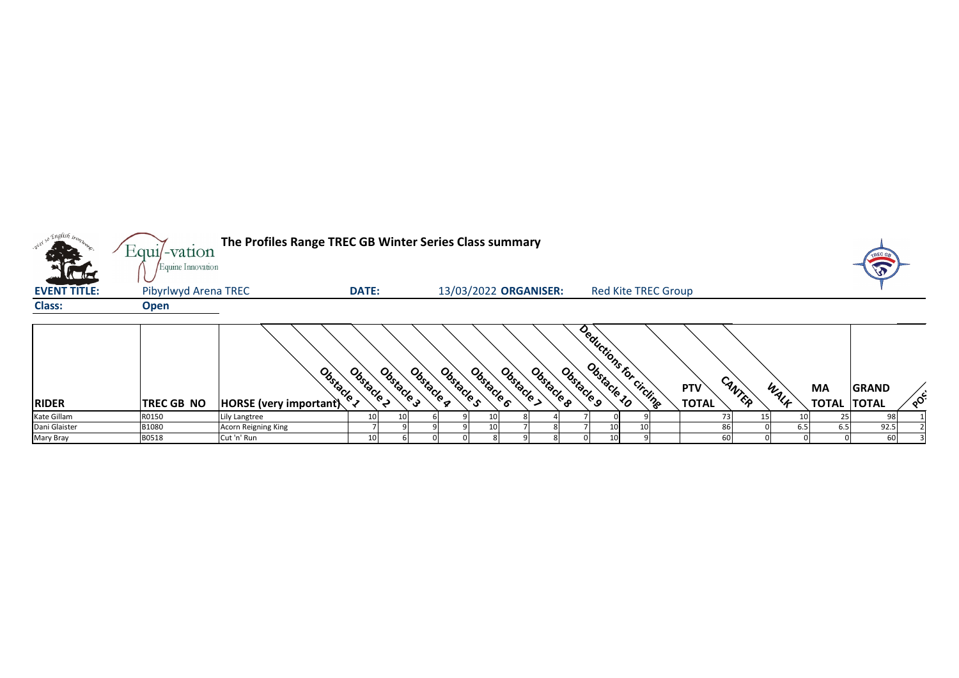| <b>CALLE</b>        | $Equi$ -vation<br>Equine Innovation | The Profiles Range TREC GB Winter Series Class summary |                 |                          |            |            |                       |            |            |                            |                            |        |      |                           |                              |          |
|---------------------|-------------------------------------|--------------------------------------------------------|-----------------|--------------------------|------------|------------|-----------------------|------------|------------|----------------------------|----------------------------|--------|------|---------------------------|------------------------------|----------|
| <b>EVENT TITLE:</b> | <b>Pibyrlwyd Arena TREC</b>         |                                                        | <b>DATE:</b>    |                          |            |            | 13/03/2022 ORGANISER: |            |            | <b>Red Kite TREC Group</b> |                            |        |      |                           |                              |          |
| <b>Class:</b>       | <b>Open</b>                         |                                                        |                 |                          |            |            |                       |            |            |                            |                            |        |      |                           |                              |          |
| <b>RIDER</b>        | <b>TREC GB NO</b>                   | Obstacle 1<br><b>HORSE</b> (very important)            | Obstacle 2      | Obstacle g<br>Obstacle 3 | Obstacle s | Obstacle 6 | Obstacle >            | Obstacle 8 | Obstacle 9 | Deductions for circlinge   | <b>PTV</b><br><b>TOTAL</b> | CANTER | WALK | <b>MA</b><br><b>TOTAL</b> | <b>GRAND</b><br><b>TOTAL</b> | $\delta$ |
| Kate Gillam         | R0150                               | Lily Langtree                                          | 10 <sub>l</sub> |                          |            |            |                       |            |            |                            |                            |        |      |                           | 98                           |          |
| Dani Glaister       | B1080                               | <b>Acorn Reigning King</b>                             |                 |                          |            |            |                       |            |            |                            |                            | 86I    | 6.5  | 6.5                       | 92.5                         |          |
| Mary Bray           | B0518                               | Cut 'n' Run                                            | 10              |                          |            |            |                       |            |            |                            |                            | 60     |      |                           | 60                           |          |

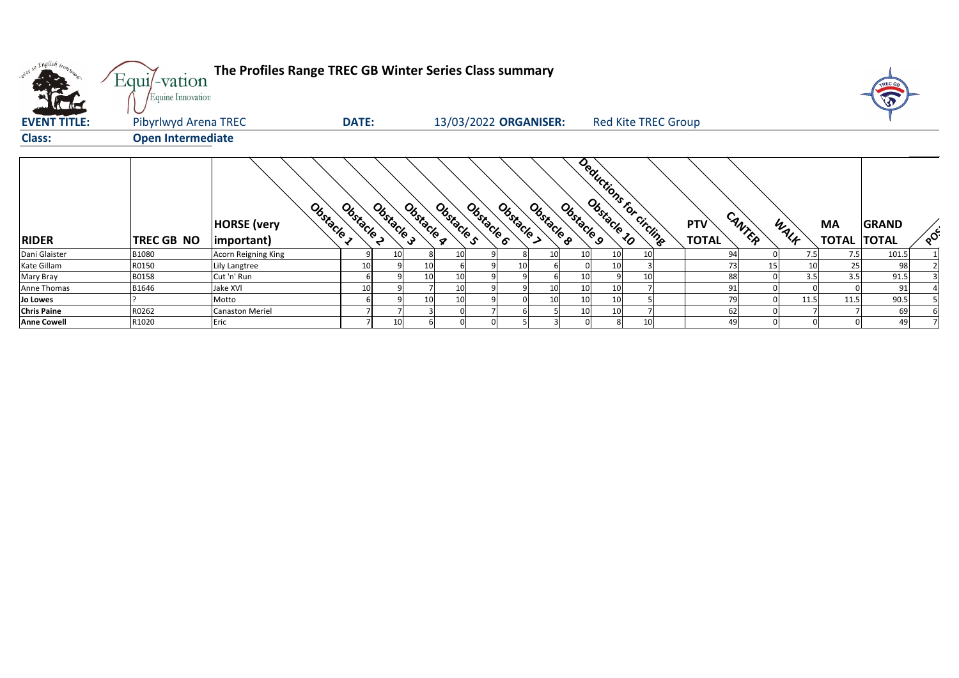| only so English trons | Equi/-vation<br>Equine Innovation | The Profiles Range TREC GB Winter Series Class summary |                          |                          |                                      |                                       |            |                        |      |                                 | TREC G<br>V.             |
|-----------------------|-----------------------------------|--------------------------------------------------------|--------------------------|--------------------------|--------------------------------------|---------------------------------------|------------|------------------------|------|---------------------------------|--------------------------|
| <b>EVENT TITLE:</b>   | Pibyrlwyd Arena TREC              |                                                        | <b>DATE:</b>             |                          | 13/03/2022 ORGANISER:                | <b>Red Kite TREC Group</b>            |            |                        |      |                                 |                          |
| <b>Class:</b>         | <b>Open Intermediate</b>          |                                                        |                          |                          |                                      |                                       |            |                        |      |                                 |                          |
| <b>RIDER</b>          | TREC GB NO                        | Obstacle 1<br><b>HORSE</b> (very<br>$ $ important $ $  | Obstacle 2<br>Obstacle 3 | Obstacle 4<br>Obstacle s | Obstacle B<br>Obstacle 6<br>Obstacle | Deductions for circling<br>Obstacle 9 | <b>PTV</b> | CANTER<br><b>TOTAL</b> | WALK | <b>MA</b><br><b>TOTAL TOTAL</b> | <b>GRAND</b><br>$\delta$ |
| Dani Glaister         | B1080                             | <b>Acorn Reigning King</b>                             | 10                       | 10I                      |                                      | 10<br>10I                             |            | 94                     | 7.5  | 7.5                             | 101.5                    |
| Kate Gillam           | R0150                             | Lily Langtree                                          | 10                       | 10                       |                                      | 10                                    |            | 73                     | 15   | 25                              | 98                       |
| Mary Bray             | B0158                             | Cut 'n' Run                                            |                          | 10<br>10                 |                                      | 10<br>10                              |            | 88                     | 3.5  | 3.5                             | 91.5                     |
| Anne Thomas           | B1646                             | <b>Jake XVI</b>                                        | 10                       | 10                       |                                      | 10<br>10                              |            | 91                     |      |                                 | 91                       |
| <b>Jo Lowes</b>       |                                   | Motto                                                  |                          | 10<br>10                 |                                      | 10<br>10                              |            | 79                     | 11.5 | 11.5                            | 90.5                     |
| <b>Chris Paine</b>    | R0262                             | <b>Canaston Meriel</b>                                 |                          |                          |                                      | 10<br>10                              |            | 62                     |      |                                 | 69                       |
| <b>Anne Cowell</b>    | R1020                             | Eric                                                   | 10                       |                          |                                      | 10                                    |            | 49                     |      |                                 | 49                       |

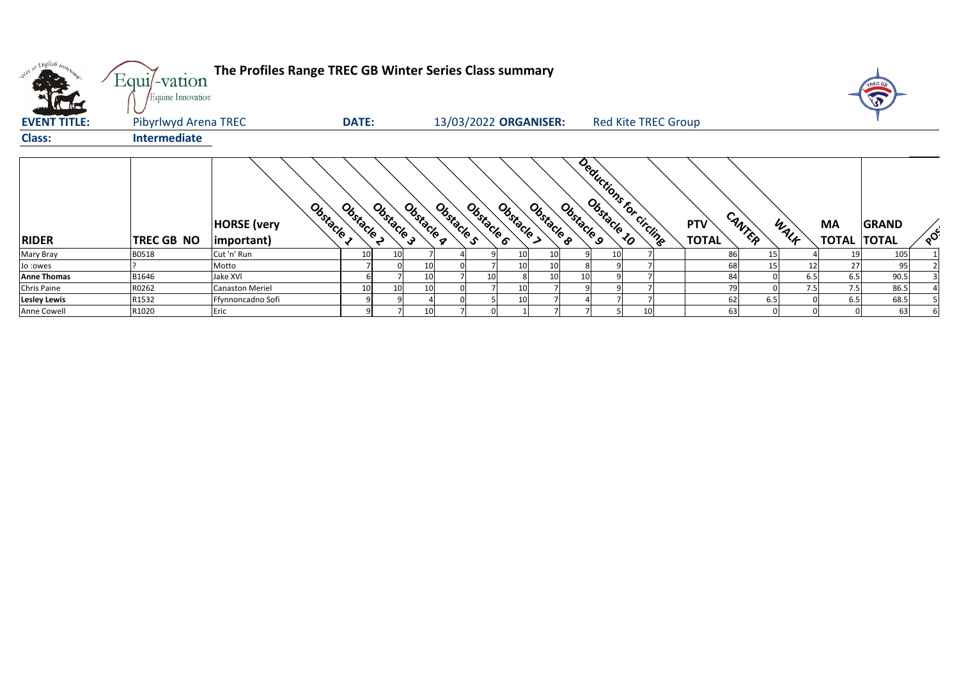

| oney so English tronz | Equi/-vation<br>Equine Innovation | The Profiles Range TREC GB Winter Series Class summary |              |                          |                          |          |            |            |                            |  |                            |        |          |                                 |              |                            |
|-----------------------|-----------------------------------|--------------------------------------------------------|--------------|--------------------------|--------------------------|----------|------------|------------|----------------------------|--|----------------------------|--------|----------|---------------------------------|--------------|----------------------------|
| <b>EVENT TITLE:</b>   | Pibyrlwyd Arena TREC              |                                                        | <b>DATE:</b> |                          | 13/03/2022 ORGANISER:    |          |            |            | <b>Red Kite TREC Group</b> |  |                            |        |          |                                 |              |                            |
| <b>Class:</b>         | Intermediate                      |                                                        |              |                          |                          |          |            |            |                            |  |                            |        |          |                                 |              |                            |
| <b>RIDER</b>          | TREC GB NO                        | Obstacle 1<br><b>HORSE</b> (very<br>(important)        | Obstacle 2   | Obstacle 3<br>Obstacle q | Obstacle s<br>Obstacle 6 | Obstacle | Obstacle 8 | Obstacle 9 | Deductions for circling    |  | <b>PTV</b><br><b>TOTAL</b> | CANTER | WALF     | <b>MA</b><br><b>TOTAL TOTAL</b> | <b>GRAND</b> | $\mathcal{L}_{\mathbf{Q}}$ |
| Mary Bray             | B0518                             | Cut 'n' Run                                            | 10           |                          |                          | 10       | 10         |            | 10 <sub>1</sub>            |  | 86                         |        | 15       |                                 | 105          |                            |
| Jo :owes              |                                   | Motto                                                  |              | 10                       |                          | 10       | 10         |            |                            |  | 68                         |        | 15<br>12 | 27                              | 95           |                            |
| <b>Anne Thomas</b>    | B1646                             | Jake XVI                                               |              | 10                       | 10                       |          | 10         | 10         |                            |  | 84                         |        | 6.5      | 6.5                             | 90.5         |                            |
| <b>Chris Paine</b>    | R0262                             | <b>Canaston Meriel</b>                                 | 10           | 10<br>10                 |                          | 10       |            |            |                            |  | 79                         |        | 7.5      | 7.5                             | 86.5         |                            |
| <b>Lesley Lewis</b>   | R1532                             | Ffynnoncadno Sofi                                      | q            |                          |                          | 10       |            |            |                            |  | 62                         | 6.5    |          | 6.5                             | 68.5         |                            |
| Anne Cowell           | R1020                             | Eric                                                   |              | 10 <sup>1</sup>          |                          |          |            |            |                            |  | 63                         |        |          |                                 | 63           |                            |

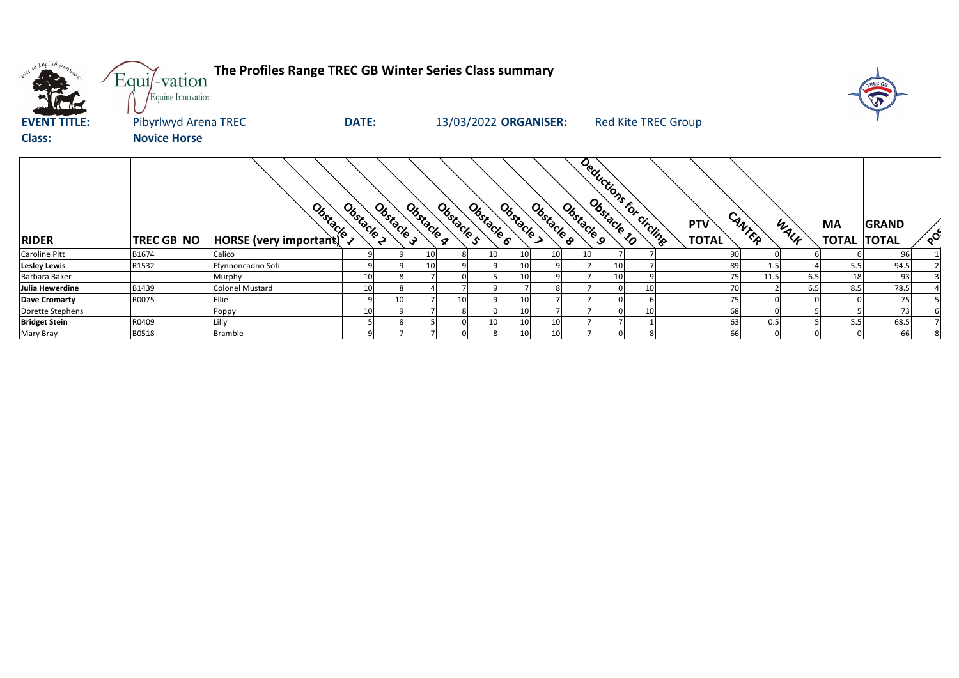| oner so English irony | Equi/-vation<br>Equine Innovation | The Profiles Range TREC GB Winter Series Class summary                                                                                                                                                                              |              |            |            |                       |            |            |            |            |    |                            |                            |        |      |                                 |              |          |
|-----------------------|-----------------------------------|-------------------------------------------------------------------------------------------------------------------------------------------------------------------------------------------------------------------------------------|--------------|------------|------------|-----------------------|------------|------------|------------|------------|----|----------------------------|----------------------------|--------|------|---------------------------------|--------------|----------|
| <b>EVENT TITLE:</b>   | Pibyrlwyd Arena TREC              |                                                                                                                                                                                                                                     | <b>DATE:</b> |            |            | 13/03/2022 ORGANISER: |            |            |            |            |    | <b>Red Kite TREC Group</b> |                            |        |      |                                 |              |          |
| <b>Class:</b>         | <b>Novice Horse</b>               |                                                                                                                                                                                                                                     |              |            |            |                       |            |            |            |            |    |                            |                            |        |      |                                 |              |          |
| <b>RIDER</b>          | TREC GB NO                        | <b>Books</b> Control Control Control Control Control Control Control Control Control Control Control Control Control Control Control Control Control Control Control Control Control Control Control Control Control Control Contro | Obstacle 2   | Obstacle 3 | Obstacle g | Obstacle s            | Obstacle 6 | Obstacle > | Obstacle 8 | Obstacle 9 |    | Deductions for circling    | <b>PTV</b><br><b>TOTAL</b> | CANTER | WALF | <b>MA</b><br><b>TOTAL TOTAL</b> | <b>GRAND</b> | $\delta$ |
| <b>Caroline Pitt</b>  | B1674                             | Calico                                                                                                                                                                                                                              |              |            |            |                       | 10         | 10         | 10         | 10         |    |                            | 90                         |        |      |                                 | 96           |          |
| <b>Lesley Lewis</b>   | R1532                             | Ffynnoncadno Sofi                                                                                                                                                                                                                   |              |            |            |                       |            | 10         |            |            | 10 |                            | 89                         |        |      | 5.5                             | 94.5         |          |
| Barbara Baker         |                                   | Murphy                                                                                                                                                                                                                              | 10           |            |            |                       |            | 10         |            |            | 10 |                            | 75                         | 11.5   | 6.5  | 18                              | 93           |          |
| Julia Hewerdine       | B1439                             | <b>Colonel Mustard</b>                                                                                                                                                                                                              | 10           |            |            |                       |            |            |            |            |    |                            | 70                         |        | 6.5  | 8.5                             | 78.5         |          |
| Dave Cromarty         | R0075                             | Ellie                                                                                                                                                                                                                               | 9            | 10         |            |                       |            | 10         |            |            |    |                            | 75                         |        |      |                                 | 75           |          |
| Dorette Stephens      |                                   | Poppy                                                                                                                                                                                                                               | 10           |            |            |                       |            | 10         |            |            |    | 10                         | 68                         |        |      |                                 | 73           |          |
| <b>Bridget Stein</b>  | R0409                             | Lilly                                                                                                                                                                                                                               | 5            |            |            |                       | 10         | 10         | 10         |            |    |                            | 63                         | 0.5    |      | 5.5                             | 68.5         |          |
| Mary Bray             | B0518                             | <b>Bramble</b>                                                                                                                                                                                                                      | 9            |            |            |                       |            | 10         | 10         |            |    |                            | 66                         |        |      |                                 | 66           |          |

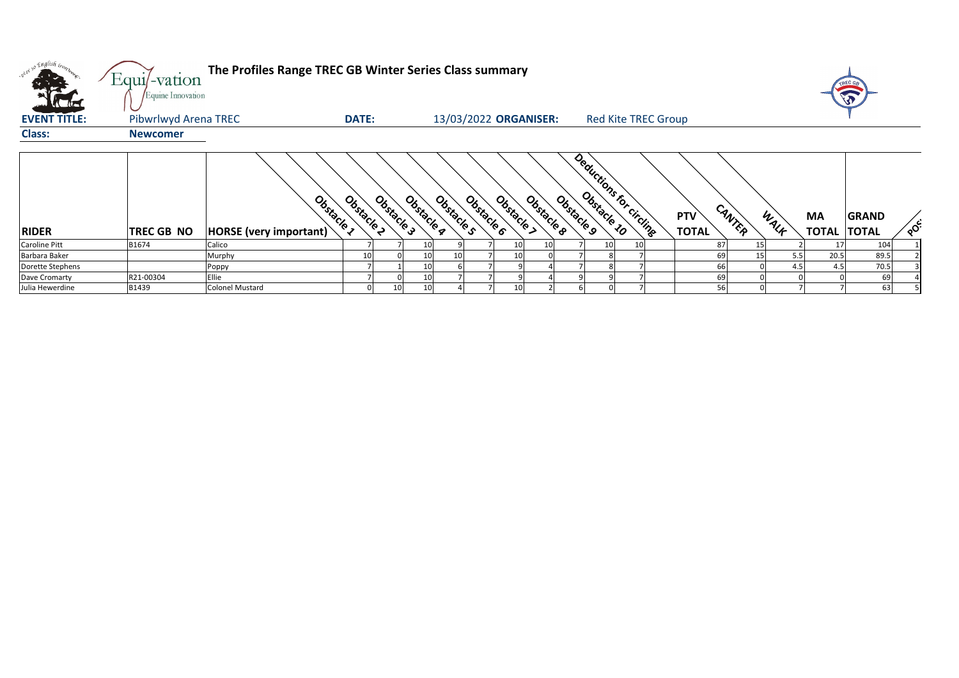

| onel so English inon.<br>Value de | Equi/-vation<br>Equine Innovation | The Profiles Range TREC GB Winter Series Class summary    |            |            |                          |          |            |                                       |                            |                            |                 |      |                                 |              |                 |
|-----------------------------------|-----------------------------------|-----------------------------------------------------------|------------|------------|--------------------------|----------|------------|---------------------------------------|----------------------------|----------------------------|-----------------|------|---------------------------------|--------------|-----------------|
| <b>EVENT TITLE:</b>               | Pibwrlwyd Arena TREC              | <b>DATE:</b>                                              |            |            | 13/03/2022 ORGANISER:    |          |            |                                       | <b>Red Kite TREC Group</b> |                            |                 |      |                                 |              |                 |
| <b>Class:</b>                     | <b>Newcomer</b>                   |                                                           |            |            |                          |          |            |                                       |                            |                            |                 |      |                                 |              |                 |
| <b>RIDER</b>                      | <b>TREC GB NO</b>                 | Obstacle 2<br>Obstacle 1<br><b>HORSE</b> (very important) | Obstacle 3 | Obstacle g | Obstacle 6<br>Obstacle s | Obstacle | Obstacle 8 | Deductions for circling<br>Obstacle 9 |                            | <b>PTV</b><br><b>TOTAL</b> | CANTER          | WALK | <b>MA</b><br><b>TOTAL TOTAL</b> | <b>GRAND</b> | $\mathcal{S}$ ် |
| <b>Caroline Pitt</b>              | B1674                             | Calico                                                    |            | 10I        |                          | 10       | 10         |                                       |                            | 87                         | 15              |      |                                 | 104          |                 |
| Barbara Baker                     |                                   | Murphy                                                    |            | 10I        | 10 <sub>1</sub>          | 10       |            |                                       |                            | 69                         | 15 <sub>1</sub> | 5.5  | 20.5                            | 89.5         |                 |
| Dorette Stephens                  |                                   | Poppy                                                     |            | 10         |                          |          |            |                                       |                            | 66                         |                 | 4.5  | 4.5                             | 70.5         |                 |
| Dave Cromarty                     | R21-00304                         | Ellie                                                     |            | 10         |                          |          |            |                                       |                            | 69                         |                 |      |                                 | 69           |                 |
| Julia Hewerdine                   | B1439                             | <b>Colonel Mustard</b>                                    | 10         | 10         |                          | 10       |            |                                       |                            | 56                         |                 |      |                                 | 63           |                 |